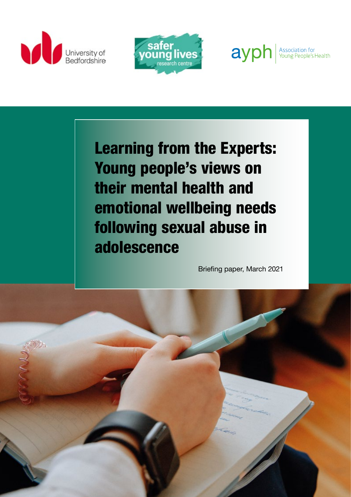





Learning from the Experts: Young people's views on their mental health and emotional wellbeing needs following sexual abuse in adolescence

Briefing paper, March 2021

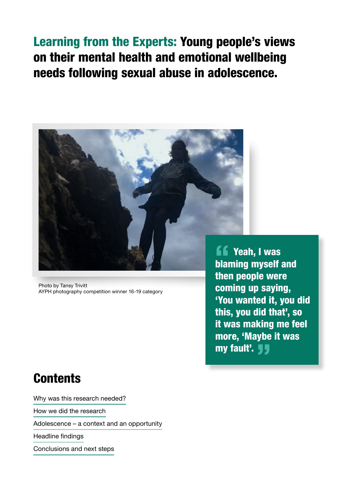# Learning from the Experts: Young people's views on their mental health and emotional wellbeing needs following sexual abuse in adolescence.



Photo by Tansy Trivitt AYPH photography competition winner 16-19 category

# **Contents**

Why was this research needed?

How we did the research

Adolescence – a context and an opportunity

Headline findings

Conclusions and next steps

**ff** Yeah, I was<br>blaming myself a blaming myself and then people were coming up saying, 'You wanted it, you did this, you did that', so it was making me feel more, 'Maybe it was my fault'. **JJ**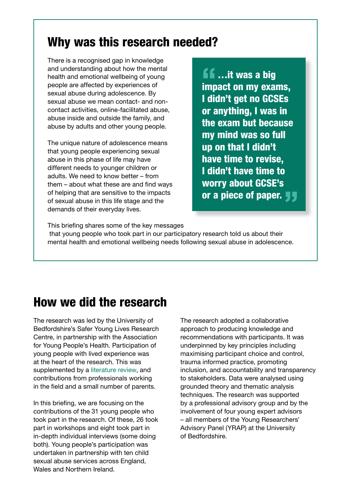### Why was this research needed?

There is a recognised gap in knowledge and understanding about how the mental health and emotional wellbeing of young people are affected by experiences of sexual abuse during adolescence. By sexual abuse we mean contact- and noncontact activities, online-facilitated abuse, abuse inside and outside the family, and abuse by adults and other young people.

The unique nature of adolescence means that young people experiencing sexual abuse in this phase of life may have different needs to younger children or adults. We need to know better – from them – about what these are and find ways of helping that are sensitive to the impacts of sexual abuse in this life stage and the demands of their everyday lives.

**ff** ...it was a big<br>impact on my exar impact on my exams, I didn't get no GCSEs or anything, I was in the exam but because my mind was so full up on that I didn't have time to revise, I didn't have time to worry about GCSE's or a piece of paper.  $\blacksquare$ 

This briefing shares some of the key messages

 that young people who took part in our participatory research told us about their mental health and emotional wellbeing needs following sexual abuse in adolescence.

### How we did the research

The research was led by the University of Bedfordshire's Safer Young Lives Research Centre, in partnership with the Association for Young People's Health. Participation of young people with lived experience was at the heart of the research. This was supplemented by a [literature review](https://www.beds.ac.uk/ic/current-programmes-and-projects/learning-from-the-experts/briefings/), and contributions from professionals working in the field and a small number of parents.

In this briefing, we are focusing on the contributions of the 31 young people who took part in the research. Of these, 26 took part in workshops and eight took part in in-depth individual interviews (some doing both). Young people's participation was undertaken in partnership with ten child sexual abuse services across England, Wales and Northern Ireland.

The research adopted a collaborative approach to producing knowledge and recommendations with participants. It was underpinned by key principles including maximising participant choice and control, trauma informed practice, promoting inclusion, and accountability and transparency to stakeholders. Data were analysed using grounded theory and thematic analysis techniques. The research was supported by a professional advisory group and by the involvement of four young expert advisors – all members of the Young Researchers' Advisory Panel (YRAP) at the University of Bedfordshire.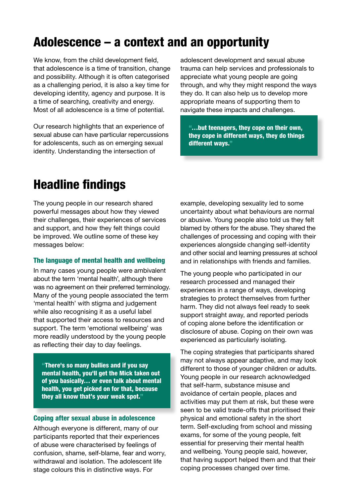# Adolescence – a context and an opportunity

We know, from the child development field, that adolescence is a time of transition, change and possibility. Although it is often categorised as a challenging period, it is also a key time for developing identity, agency and purpose. It is a time of searching, creativity and energy. Most of all adolescence is a time of potential.

Our research highlights that an experience of sexual abuse can have particular repercussions for adolescents, such as on emerging sexual identity. Understanding the intersection of

adolescent development and sexual abuse trauma can help services and professionals to appreciate what young people are going through, and why they might respond the ways they do. It can also help us to develop more appropriate means of supporting them to navigate these impacts and challenges.

"…but teenagers, they cope on their own, they cope in different ways, they do things different ways."

### Headline findings

The young people in our research shared powerful messages about how they viewed their challenges, their experiences of services and support, and how they felt things could be improved. We outline some of these key messages below:

#### The language of mental health and wellbeing

In many cases young people were ambivalent about the term 'mental health', although there was no agreement on their preferred terminology. Many of the young people associated the term 'mental health' with stigma and judgement while also recognising it as a useful label that supported their access to resources and support. The term 'emotional wellbeing' was more readily understood by the young people as reflecting their day to day feelings.

"There's so many bullies and if you say mental health, you'll get the Mick taken out of you basically… or even talk about mental health, you get picked on for that, because they all know that's your weak spot."

#### Coping after sexual abuse in adolescence

Although everyone is different, many of our participants reported that their experiences of abuse were characterised by feelings of confusion, shame, self-blame, fear and worry, withdrawal and isolation. The adolescent life stage colours this in distinctive ways. For

example, developing sexuality led to some uncertainty about what behaviours are normal or abusive. Young people also told us they felt blamed by others for the abuse. They shared the challenges of processing and coping with their experiences alongside changing self-identity and other social and learning pressures at school and in relationships with friends and families.

The young people who participated in our research processed and managed their experiences in a range of ways, developing strategies to protect themselves from further harm. They did not always feel ready to seek support straight away, and reported periods of coping alone before the identification or disclosure of abuse. Coping on their own was experienced as particularly isolating.

The coping strategies that participants shared may not always appear adaptive, and may look different to those of younger children or adults. Young people in our research acknowledged that self-harm, substance misuse and avoidance of certain people, places and activities may put them at risk, but these were seen to be valid trade-offs that prioritised their physical and emotional safety in the short term. Self-excluding from school and missing exams, for some of the young people, felt essential for preserving their mental health and wellbeing. Young people said, however, that having support helped them and that their coping processes changed over time.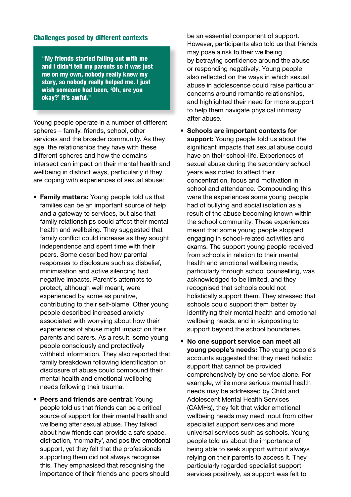#### Challenges posed by different contexts

"My friends started falling out with me and I didn't tell my parents so it was just me on my own, nobody really knew my story, so nobody really helped me. I just wish someone had been, 'Oh, are you okay?' It's awful."

Young people operate in a number of different spheres – family, friends, school, other services and the broader community. As they age, the relationships they have with these different spheres and how the domains intersect can impact on their mental health and wellbeing in distinct ways, particularly if they are coping with experiences of sexual abuse:

- **• Family matters:** Young people told us that families can be an important source of help and a gateway to services, but also that family relationships could affect their mental health and wellbeing. They suggested that family conflict could increase as they sought independence and spent time with their peers. Some described how parental responses to disclosure such as disbelief, minimisation and active silencing had negative impacts. Parent's attempts to protect, although well meant, were experienced by some as punitive, contributing to their self-blame. Other young people described increased anxiety associated with worrying about how their experiences of abuse might impact on their parents and carers. As a result, some young people consciously and protectively withheld information. They also reported that family breakdown following identification or disclosure of abuse could compound their mental health and emotional wellbeing needs following their trauma.
- **• Peers and friends are central:** Young people told us that friends can be a critical source of support for their mental health and wellbeing after sexual abuse. They talked about how friends can provide a safe space, distraction, 'normality', and positive emotional support, yet they felt that the professionals supporting them did not always recognise this. They emphasised that recognising the importance of their friends and peers should

be an essential component of support. However, participants also told us that friends may pose a risk to their wellbeing by betraying confidence around the abuse or responding negatively. Young people also reflected on the ways in which sexual abuse in adolescence could raise particular concerns around romantic relationships, and highlighted their need for more support to help them navigate physical intimacy after abuse.

- **• Schools are important contexts for support:** Young people told us about the significant impacts that sexual abuse could have on their school-life. Experiences of sexual abuse during the secondary school years was noted to affect their concentration, focus and motivation in school and attendance. Compounding this were the experiences some young people had of bullying and social isolation as a result of the abuse becoming known within the school community. These experiences meant that some young people stopped engaging in school-related activities and exams. The support young people received from schools in relation to their mental health and emotional wellbeing needs, particularly through school counselling, was acknowledged to be limited, and they recognised that schools could not holistically support them. They stressed that schools could support them better by identifying their mental health and emotional wellbeing needs, and in signposting to support beyond the school boundaries.
- **• No one support service can meet all young people's needs:** The young people's accounts suggested that they need holistic support that cannot be provided comprehensively by one service alone. For example, while more serious mental health needs may be addressed by Child and Adolescent Mental Health Services (CAMHs), they felt that wider emotional wellbeing needs may need input from other specialist support services and more universal services such as schools. Young people told us about the importance of being able to seek support without always relying on their parents to access it. They particularly regarded specialist support services positively, as support was felt to